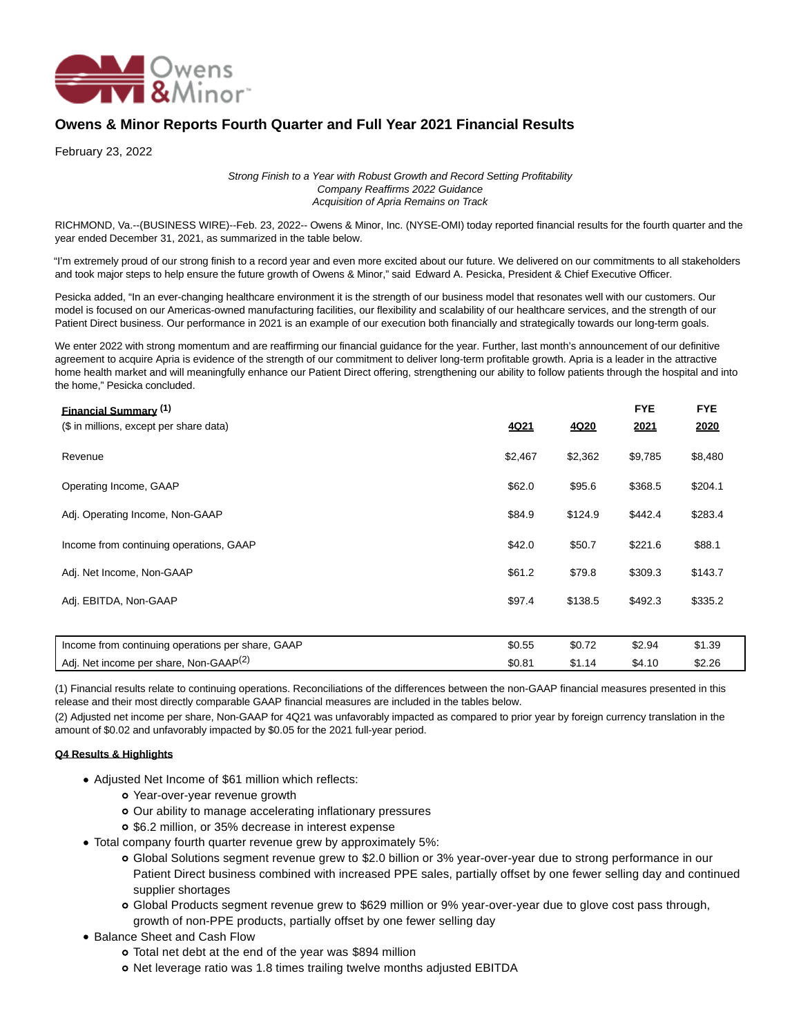

## **Owens & Minor Reports Fourth Quarter and Full Year 2021 Financial Results**

February 23, 2022

Strong Finish to a Year with Robust Growth and Record Setting Profitability Company Reaffirms 2022 Guidance Acquisition of Apria Remains on Track

RICHMOND, Va.--(BUSINESS WIRE)--Feb. 23, 2022-- Owens & Minor, Inc. (NYSE-OMI) today reported financial results for the fourth quarter and the year ended December 31, 2021, as summarized in the table below.

"I'm extremely proud of our strong finish to a record year and even more excited about our future. We delivered on our commitments to all stakeholders and took major steps to help ensure the future growth of Owens & Minor," said Edward A. Pesicka, President & Chief Executive Officer.

Pesicka added, "In an ever-changing healthcare environment it is the strength of our business model that resonates well with our customers. Our model is focused on our Americas-owned manufacturing facilities, our flexibility and scalability of our healthcare services, and the strength of our Patient Direct business. Our performance in 2021 is an example of our execution both financially and strategically towards our long-term goals.

We enter 2022 with strong momentum and are reaffirming our financial guidance for the year. Further, last month's announcement of our definitive agreement to acquire Apria is evidence of the strength of our commitment to deliver long-term profitable growth. Apria is a leader in the attractive home health market and will meaningfully enhance our Patient Direct offering, strengthening our ability to follow patients through the hospital and into the home," Pesicka concluded.

| <b>Financial Summary (1)</b><br>(\$ in millions, except per share data) | <u>4Q21</u> | 4Q20    | <b>FYE</b><br>2021 | <b>FYE</b><br>2020 |  |
|-------------------------------------------------------------------------|-------------|---------|--------------------|--------------------|--|
| Revenue                                                                 | \$2,467     | \$2,362 | \$9,785            | \$8,480            |  |
| Operating Income, GAAP                                                  | \$62.0      | \$95.6  | \$368.5            | \$204.1            |  |
| Adj. Operating Income, Non-GAAP                                         | \$84.9      | \$124.9 | \$442.4            | \$283.4            |  |
| Income from continuing operations, GAAP                                 | \$42.0      | \$50.7  | \$221.6            | \$88.1             |  |
| Adj. Net Income, Non-GAAP                                               | \$61.2      | \$79.8  | \$309.3            | \$143.7            |  |
| Adj. EBITDA, Non-GAAP                                                   | \$97.4      | \$138.5 | \$492.3            | \$335.2            |  |
|                                                                         |             |         |                    |                    |  |
| Income from continuing operations per share, GAAP                       | \$0.55      | \$0.72  | \$2.94             | \$1.39             |  |
| Adj. Net income per share, Non-GAAP <sup>(2)</sup>                      | \$0.81      | \$1.14  | \$4.10             | \$2.26             |  |

(1) Financial results relate to continuing operations. Reconciliations of the differences between the non-GAAP financial measures presented in this release and their most directly comparable GAAP financial measures are included in the tables below.

(2) Adjusted net income per share, Non-GAAP for 4Q21 was unfavorably impacted as compared to prior year by foreign currency translation in the amount of \$0.02 and unfavorably impacted by \$0.05 for the 2021 full-year period.

## **Q4 Results & Highlights**

- Adjusted Net Income of \$61 million which reflects:
	- Year-over-year revenue growth
	- Our ability to manage accelerating inflationary pressures
	- \$6.2 million, or 35% decrease in interest expense
- Total company fourth quarter revenue grew by approximately 5%:
	- Global Solutions segment revenue grew to \$2.0 billion or 3% year-over-year due to strong performance in our Patient Direct business combined with increased PPE sales, partially offset by one fewer selling day and continued supplier shortages
	- Global Products segment revenue grew to \$629 million or 9% year-over-year due to glove cost pass through, growth of non-PPE products, partially offset by one fewer selling day
- Balance Sheet and Cash Flow
	- Total net debt at the end of the year was \$894 million
	- o Net leverage ratio was 1.8 times trailing twelve months adjusted EBITDA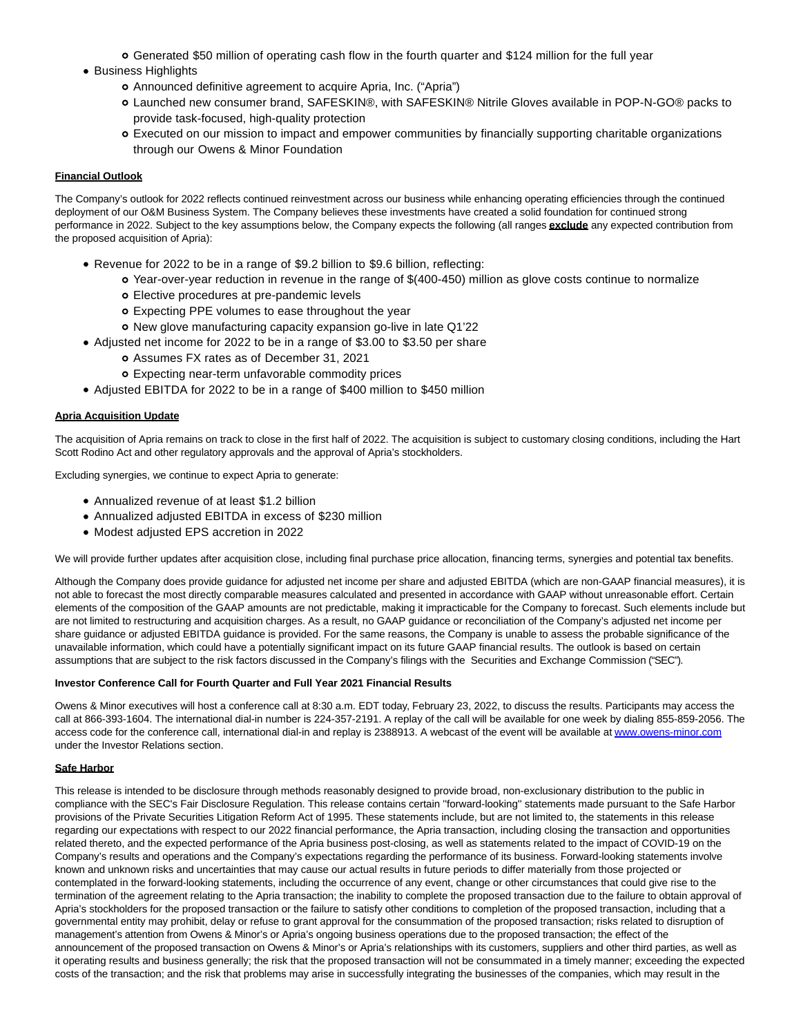- Generated \$50 million of operating cash flow in the fourth quarter and \$124 million for the full year
- Business Highlights
	- Announced definitive agreement to acquire Apria, Inc. ("Apria")
	- Launched new consumer brand, SAFESKIN®, with SAFESKIN® Nitrile Gloves available in POP-N-GO® packs to provide task-focused, high-quality protection
	- Executed on our mission to impact and empower communities by financially supporting charitable organizations through our Owens & Minor Foundation

#### **Financial Outlook**

The Company's outlook for 2022 reflects continued reinvestment across our business while enhancing operating efficiencies through the continued deployment of our O&M Business System. The Company believes these investments have created a solid foundation for continued strong performance in 2022. Subject to the key assumptions below, the Company expects the following (all ranges **exclude** any expected contribution from the proposed acquisition of Apria):

- Revenue for 2022 to be in a range of \$9.2 billion to \$9.6 billion, reflecting:
	- Year-over-year reduction in revenue in the range of \$(400-450) million as glove costs continue to normalize
		- Elective procedures at pre-pandemic levels
	- Expecting PPE volumes to ease throughout the year
	- New glove manufacturing capacity expansion go-live in late Q1'22
- Adjusted net income for 2022 to be in a range of \$3.00 to \$3.50 per share
	- Assumes FX rates as of December 31, 2021
	- Expecting near-term unfavorable commodity prices
- Adjusted EBITDA for 2022 to be in a range of \$400 million to \$450 million

#### **Apria Acquisition Update**

The acquisition of Apria remains on track to close in the first half of 2022. The acquisition is subject to customary closing conditions, including the Hart Scott Rodino Act and other regulatory approvals and the approval of Apria's stockholders.

Excluding synergies, we continue to expect Apria to generate:

- Annualized revenue of at least \$1.2 billion
- Annualized adjusted EBITDA in excess of \$230 million
- Modest adjusted EPS accretion in 2022

We will provide further updates after acquisition close, including final purchase price allocation, financing terms, synergies and potential tax benefits.

Although the Company does provide guidance for adjusted net income per share and adjusted EBITDA (which are non-GAAP financial measures), it is not able to forecast the most directly comparable measures calculated and presented in accordance with GAAP without unreasonable effort. Certain elements of the composition of the GAAP amounts are not predictable, making it impracticable for the Company to forecast. Such elements include but are not limited to restructuring and acquisition charges. As a result, no GAAP guidance or reconciliation of the Company's adjusted net income per share guidance or adjusted EBITDA guidance is provided. For the same reasons, the Company is unable to assess the probable significance of the unavailable information, which could have a potentially significant impact on its future GAAP financial results. The outlook is based on certain assumptions that are subject to the risk factors discussed in the Company's filings with the Securities and Exchange Commission ("SEC").

#### **Investor Conference Call for Fourth Quarter and Full Year 2021 Financial Results**

Owens & Minor executives will host a conference call at 8:30 a.m. EDT today, February 23, 2022, to discuss the results. Participants may access the call at 866-393-1604. The international dial-in number is 224-357-2191. A replay of the call will be available for one week by dialing 855-859-2056. The access code for the conference call, international dial-in and replay is 2388913. A webcast of the event will be available a[t www.owens-minor.com](https://cts.businesswire.com/ct/CT?id=smartlink&url=http%3A%2F%2Fwww.owens-minor.com&esheet=52583812&newsitemid=20220223005377&lan=en-US&anchor=www.owens-minor.com&index=1&md5=5e65b9f4a5f30fab3f901292956bb77e) under the Investor Relations section.

#### **Safe Harbor**

This release is intended to be disclosure through methods reasonably designed to provide broad, non-exclusionary distribution to the public in compliance with the SEC's Fair Disclosure Regulation. This release contains certain ''forward-looking'' statements made pursuant to the Safe Harbor provisions of the Private Securities Litigation Reform Act of 1995. These statements include, but are not limited to, the statements in this release regarding our expectations with respect to our 2022 financial performance, the Apria transaction, including closing the transaction and opportunities related thereto, and the expected performance of the Apria business post-closing, as well as statements related to the impact of COVID-19 on the Company's results and operations and the Company's expectations regarding the performance of its business. Forward-looking statements involve known and unknown risks and uncertainties that may cause our actual results in future periods to differ materially from those projected or contemplated in the forward-looking statements, including the occurrence of any event, change or other circumstances that could give rise to the termination of the agreement relating to the Apria transaction; the inability to complete the proposed transaction due to the failure to obtain approval of Apria's stockholders for the proposed transaction or the failure to satisfy other conditions to completion of the proposed transaction, including that a governmental entity may prohibit, delay or refuse to grant approval for the consummation of the proposed transaction; risks related to disruption of management's attention from Owens & Minor's or Apria's ongoing business operations due to the proposed transaction; the effect of the announcement of the proposed transaction on Owens & Minor's or Apria's relationships with its customers, suppliers and other third parties, as well as it operating results and business generally; the risk that the proposed transaction will not be consummated in a timely manner; exceeding the expected costs of the transaction; and the risk that problems may arise in successfully integrating the businesses of the companies, which may result in the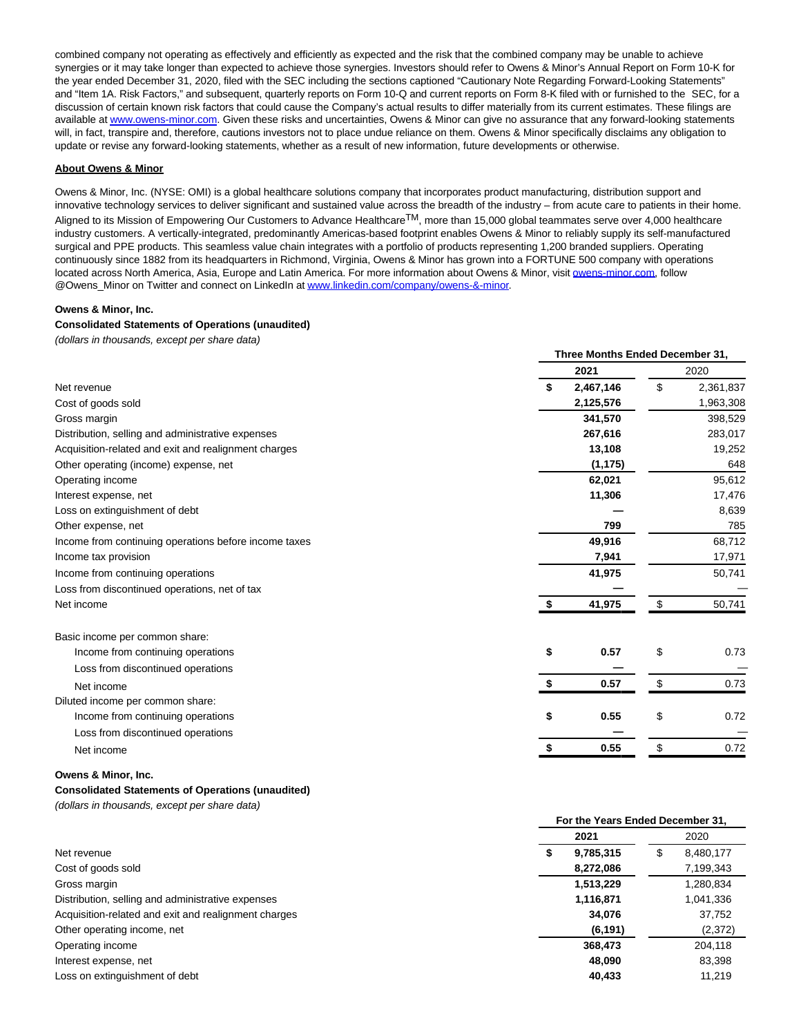combined company not operating as effectively and efficiently as expected and the risk that the combined company may be unable to achieve synergies or it may take longer than expected to achieve those synergies. Investors should refer to Owens & Minor's Annual Report on Form 10-K for the year ended December 31, 2020, filed with the SEC including the sections captioned "Cautionary Note Regarding Forward-Looking Statements" and "Item 1A. Risk Factors," and subsequent, quarterly reports on Form 10-Q and current reports on Form 8-K filed with or furnished to the SEC, for a discussion of certain known risk factors that could cause the Company's actual results to differ materially from its current estimates. These filings are available a[t www.owens-minor.com.](https://cts.businesswire.com/ct/CT?id=smartlink&url=http%3A%2F%2Fwww.owens-minor.com&esheet=52583812&newsitemid=20220223005377&lan=en-US&anchor=www.owens-minor.com&index=2&md5=7220299e8b18213accf9e22c5de15328) Given these risks and uncertainties, Owens & Minor can give no assurance that any forward-looking statements will, in fact, transpire and, therefore, cautions investors not to place undue reliance on them. Owens & Minor specifically disclaims any obligation to update or revise any forward-looking statements, whether as a result of new information, future developments or otherwise.

#### **About Owens & Minor**

Owens & Minor, Inc. (NYSE: OMI) is a global healthcare solutions company that incorporates product manufacturing, distribution support and innovative technology services to deliver significant and sustained value across the breadth of the industry – from acute care to patients in their home. Aligned to its Mission of Empowering Our Customers to Advance Healthcare<sup>TM</sup>, more than 15,000 global teammates serve over 4,000 healthcare industry customers. A vertically-integrated, predominantly Americas-based footprint enables Owens & Minor to reliably supply its self-manufactured surgical and PPE products. This seamless value chain integrates with a portfolio of products representing 1,200 branded suppliers. Operating continuously since 1882 from its headquarters in Richmond, Virginia, Owens & Minor has grown into a FORTUNE 500 company with operations located across North America, Asia, Europe and Latin America. For more information about Owens & Minor, visi[t owens-minor.com,](http://owens-minor.com/) follow @Owens\_Minor on Twitter and connect on LinkedIn a[t www.linkedin.com/company/owens-&-minor.](https://cts.businesswire.com/ct/CT?id=smartlink&url=http%3A%2F%2Fwww.linkedin.com%2Fcompany%2Fowens-%26-minor&esheet=52583812&newsitemid=20220223005377&lan=en-US&anchor=www.linkedin.com%2Fcompany%2Fowens-%26amp%3B-minor&index=3&md5=9719868255c78349c0db57f229b1daeb)

**Three Months Ended December 31,**

**For the Years Ended December 31,**

#### **Owens & Minor, Inc.**

## **Consolidated Statements of Operations (unaudited)**

(dollars in thousands, except per share data)

|                                                       |                 | Three Months Ended December 31, |           |  |  |  |  |  |
|-------------------------------------------------------|-----------------|---------------------------------|-----------|--|--|--|--|--|
|                                                       | 2021            |                                 | 2020      |  |  |  |  |  |
| Net revenue                                           | 2,467,146<br>\$ | \$                              | 2,361,837 |  |  |  |  |  |
| Cost of goods sold                                    | 2,125,576       |                                 | 1,963,308 |  |  |  |  |  |
| Gross margin                                          | 341,570         |                                 | 398,529   |  |  |  |  |  |
| Distribution, selling and administrative expenses     | 267,616         |                                 | 283,017   |  |  |  |  |  |
| Acquisition-related and exit and realignment charges  | 13,108          |                                 | 19,252    |  |  |  |  |  |
| Other operating (income) expense, net                 | (1, 175)        |                                 | 648       |  |  |  |  |  |
| Operating income                                      | 62,021          |                                 | 95,612    |  |  |  |  |  |
| Interest expense, net                                 | 11,306          |                                 | 17,476    |  |  |  |  |  |
| Loss on extinguishment of debt                        |                 |                                 | 8,639     |  |  |  |  |  |
| Other expense, net                                    | 799             |                                 | 785       |  |  |  |  |  |
| Income from continuing operations before income taxes | 49,916          |                                 | 68,712    |  |  |  |  |  |
| Income tax provision                                  | 7,941           |                                 | 17,971    |  |  |  |  |  |
| Income from continuing operations                     | 41,975          |                                 | 50,741    |  |  |  |  |  |
| Loss from discontinued operations, net of tax         |                 |                                 |           |  |  |  |  |  |
| Net income                                            | 41,975<br>S.    | \$                              | 50,741    |  |  |  |  |  |
| Basic income per common share:                        |                 |                                 |           |  |  |  |  |  |
| Income from continuing operations                     | \$<br>0.57      | \$                              | 0.73      |  |  |  |  |  |
| Loss from discontinued operations                     |                 |                                 |           |  |  |  |  |  |
| Net income                                            | \$<br>0.57      | \$                              | 0.73      |  |  |  |  |  |
| Diluted income per common share:                      |                 |                                 |           |  |  |  |  |  |
| Income from continuing operations                     | 0.55<br>\$      | \$                              | 0.72      |  |  |  |  |  |
| Loss from discontinued operations                     |                 |                                 |           |  |  |  |  |  |
| Net income                                            | \$<br>0.55      | \$                              | 0.72      |  |  |  |  |  |

#### **Owens & Minor, Inc.**

## **Consolidated Statements of Operations (unaudited)**

(dollars in thousands, except per share data)

|                                                      | FUI THE TEATS ENGED DECENNED 3T. |                |  |  |  |
|------------------------------------------------------|----------------------------------|----------------|--|--|--|
|                                                      | 2021                             | 2020           |  |  |  |
| Net revenue                                          | 9,785,315                        | 8,480,177<br>Ъ |  |  |  |
| Cost of goods sold                                   | 8,272,086                        | 7,199,343      |  |  |  |
| Gross margin                                         | 1,513,229                        | 1,280,834      |  |  |  |
| Distribution, selling and administrative expenses    | 1,116,871                        | 1,041,336      |  |  |  |
| Acquisition-related and exit and realignment charges | 34,076                           | 37,752         |  |  |  |
| Other operating income, net                          | (6, 191)                         | (2,372)        |  |  |  |
| Operating income                                     | 368,473                          | 204,118        |  |  |  |
| Interest expense, net                                | 48.090                           | 83,398         |  |  |  |
| Loss on extinguishment of debt                       | 40,433                           | 11.219         |  |  |  |
|                                                      |                                  |                |  |  |  |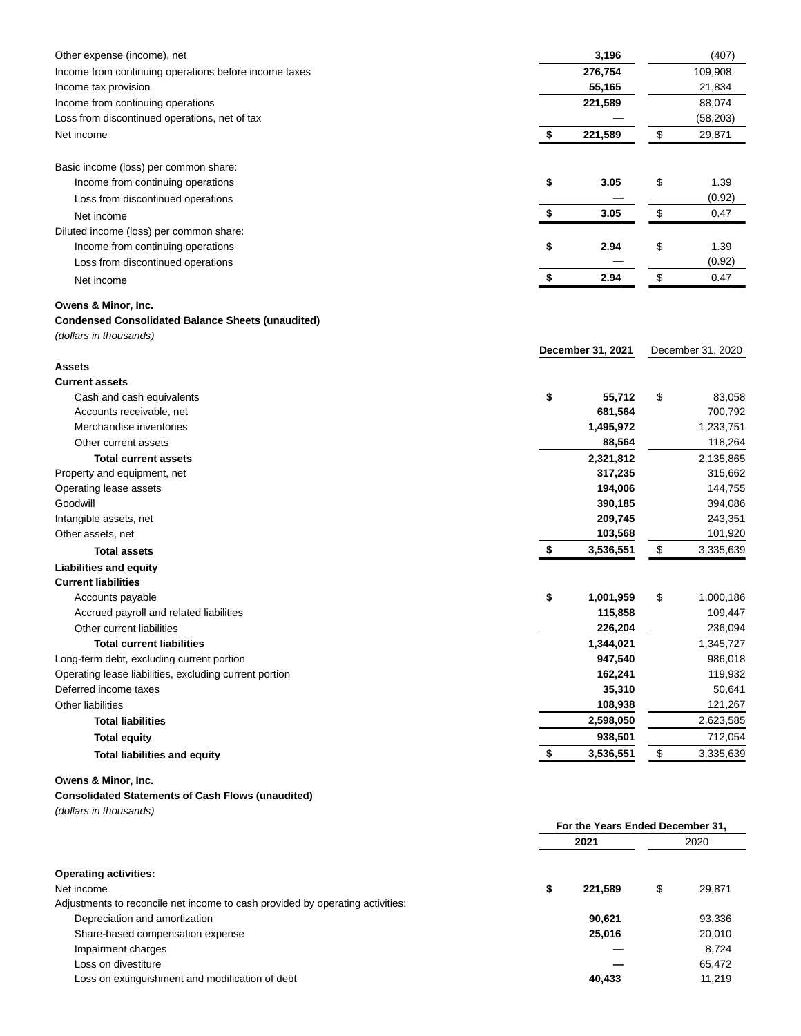| Other expense (income), net                              | 3,196             | (407)             |
|----------------------------------------------------------|-------------------|-------------------|
| Income from continuing operations before income taxes    | 276,754           | 109,908           |
| Income tax provision                                     | 55,165            | 21,834            |
| Income from continuing operations                        | 221,589           | 88,074            |
| Loss from discontinued operations, net of tax            |                   | (58, 203)         |
| Net income                                               | \$<br>221,589     | \$<br>29,871      |
|                                                          |                   |                   |
| Basic income (loss) per common share:                    |                   |                   |
| Income from continuing operations                        | \$<br>3.05        | \$<br>1.39        |
| Loss from discontinued operations                        |                   | (0.92)            |
| Net income                                               | \$<br>3.05        | \$<br>0.47        |
| Diluted income (loss) per common share:                  |                   |                   |
| Income from continuing operations                        | \$<br>2.94        | \$<br>1.39        |
| Loss from discontinued operations                        |                   | (0.92)            |
| Net income                                               | \$<br>2.94        | \$<br>0.47        |
| Owens & Minor, Inc.                                      |                   |                   |
| <b>Condensed Consolidated Balance Sheets (unaudited)</b> |                   |                   |
| (dollars in thousands)                                   |                   |                   |
|                                                          | December 31, 2021 | December 31, 2020 |
| <b>Assets</b>                                            |                   |                   |
| <b>Current assets</b>                                    |                   |                   |
| Cash and cash equivalents                                | \$<br>55,712      | \$<br>83,058      |
| Accounts receivable, net                                 | 681,564           | 700,792           |
| Merchandise inventories                                  | 1,495,972         | 1,233,751         |
| Other current assets                                     | 88,564            | 118,264           |
| <b>Total current assets</b>                              | 2,321,812         | 2,135,865         |
| Property and equipment, net                              | 317,235           | 315,662           |
| Operating lease assets                                   | 194,006           | 144,755           |
| Goodwill                                                 | 390,185           | 394,086           |
| Intangible assets, net                                   | 209,745           | 243,351           |
| Other assets, net                                        | 103,568           | 101,920           |
| <b>Total assets</b>                                      | \$<br>3,536,551   | \$<br>3,335,639   |
| <b>Liabilities and equity</b>                            |                   |                   |
| <b>Current liabilities</b>                               |                   |                   |
| Accounts payable                                         | \$<br>1,001,959   | \$<br>1,000,186   |
| Accrued payroll and related liabilities                  | 115,858           | 109,447           |
| Other current liabilities                                | 226,204           | 236,094           |
| <b>Total current liabilities</b>                         | 1,344,021         | 1,345,727         |
| Long-term debt, excluding current portion                | 947,540           | 986,018           |
| Operating lease liabilities, excluding current portion   | 162,241           | 119,932           |
| Deferred income taxes                                    | 35,310            | 50,641            |
| Other liabilities                                        | 108,938           | 121,267           |
| <b>Total liabilities</b>                                 | 2,598,050         | 2,623,585         |
| <b>Total equity</b>                                      | 938,501           | 712,054           |
| <b>Total liabilities and equity</b>                      | \$<br>3,536,551   | \$<br>3,335,639   |
| Owens & Minor, Inc.                                      |                   |                   |

# **Consolidated Statements of Cash Flows (unaudited)**

(dollars in thousands)

|                                                                               |      | For the Years Ended December 31, |      |        |
|-------------------------------------------------------------------------------|------|----------------------------------|------|--------|
|                                                                               | 2021 |                                  | 2020 |        |
| <b>Operating activities:</b>                                                  |      |                                  |      |        |
| Net income                                                                    | \$   | 221.589                          | \$   | 29,871 |
| Adjustments to reconcile net income to cash provided by operating activities: |      |                                  |      |        |
| Depreciation and amortization                                                 |      | 90,621                           |      | 93,336 |
| Share-based compensation expense                                              |      | 25,016                           |      | 20,010 |
| Impairment charges                                                            |      |                                  |      | 8.724  |
| Loss on divestiture                                                           |      |                                  |      | 65,472 |
| Loss on extinguishment and modification of debt                               |      | 40,433                           |      | 11,219 |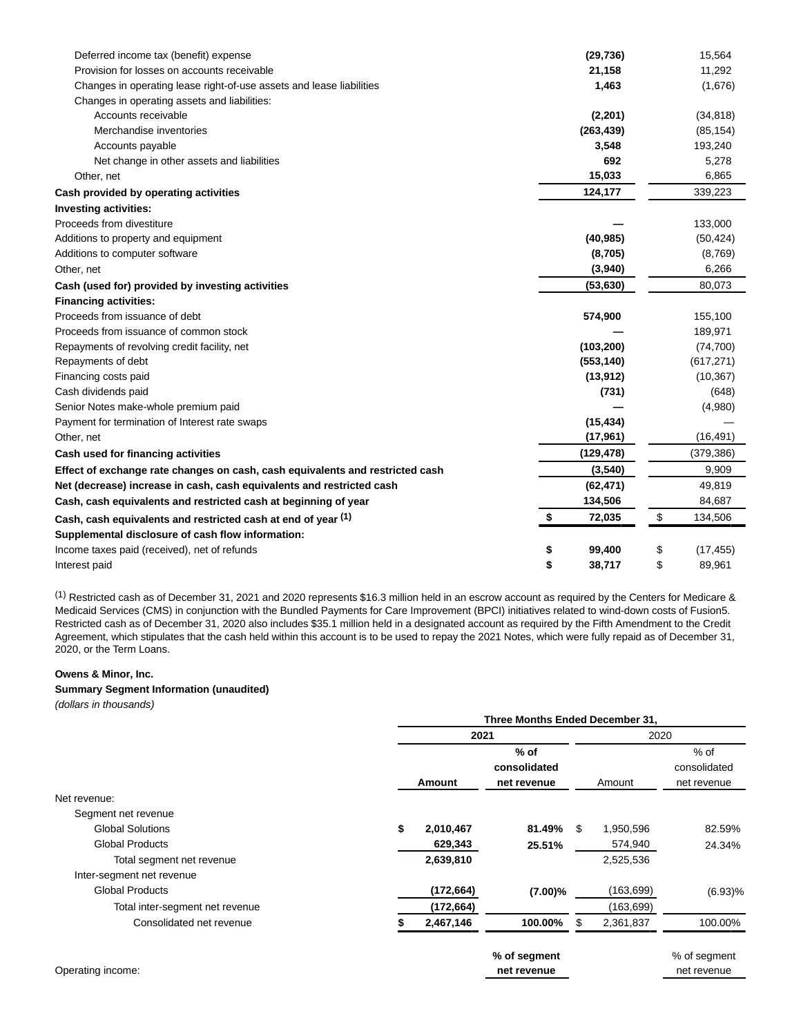| Deferred income tax (benefit) expense                                         | (29, 736)    | 15,564          |
|-------------------------------------------------------------------------------|--------------|-----------------|
| Provision for losses on accounts receivable                                   | 21,158       | 11,292          |
| Changes in operating lease right-of-use assets and lease liabilities          | 1,463        | (1,676)         |
| Changes in operating assets and liabilities:                                  |              |                 |
| Accounts receivable                                                           | (2, 201)     | (34, 818)       |
| Merchandise inventories                                                       | (263, 439)   | (85, 154)       |
| Accounts payable                                                              | 3,548        | 193,240         |
| Net change in other assets and liabilities                                    | 692          | 5,278           |
| Other, net                                                                    | 15,033       | 6,865           |
| Cash provided by operating activities                                         | 124,177      | 339,223         |
| <b>Investing activities:</b>                                                  |              |                 |
| Proceeds from divestiture                                                     |              | 133,000         |
| Additions to property and equipment                                           | (40, 985)    | (50, 424)       |
| Additions to computer software                                                | (8,705)      | (8,769)         |
| Other, net                                                                    | (3,940)      | 6,266           |
| Cash (used for) provided by investing activities                              | (53, 630)    | 80,073          |
| <b>Financing activities:</b>                                                  |              |                 |
| Proceeds from issuance of debt                                                | 574,900      | 155,100         |
| Proceeds from issuance of common stock                                        |              | 189,971         |
| Repayments of revolving credit facility, net                                  | (103, 200)   | (74, 700)       |
| Repayments of debt                                                            | (553, 140)   | (617, 271)      |
| Financing costs paid                                                          | (13, 912)    | (10, 367)       |
| Cash dividends paid                                                           | (731)        | (648)           |
| Senior Notes make-whole premium paid                                          |              | (4,980)         |
| Payment for termination of Interest rate swaps                                | (15, 434)    |                 |
| Other, net                                                                    | (17, 961)    | (16, 491)       |
| Cash used for financing activities                                            | (129, 478)   | (379, 386)      |
| Effect of exchange rate changes on cash, cash equivalents and restricted cash | (3,540)      | 9,909           |
| Net (decrease) increase in cash, cash equivalents and restricted cash         | (62, 471)    | 49,819          |
| Cash, cash equivalents and restricted cash at beginning of year               | 134,506      | 84,687          |
| Cash, cash equivalents and restricted cash at end of year (1)                 | \$<br>72,035 | \$<br>134,506   |
| Supplemental disclosure of cash flow information:                             |              |                 |
| Income taxes paid (received), net of refunds                                  | \$<br>99,400 | \$<br>(17, 455) |
| Interest paid                                                                 | \$<br>38,717 | \$<br>89,961    |

(1) Restricted cash as of December 31, 2021 and 2020 represents \$16.3 million held in an escrow account as required by the Centers for Medicare & Medicaid Services (CMS) in conjunction with the Bundled Payments for Care Improvement (BPCI) initiatives related to wind-down costs of Fusion5. Restricted cash as of December 31, 2020 also includes \$35.1 million held in a designated account as required by the Fifth Amendment to the Credit Agreement, which stipulates that the cash held within this account is to be used to repay the 2021 Notes, which were fully repaid as of December 31, 2020, or the Term Loans.

#### **Owens & Minor, Inc.**

## **Summary Segment Information (unaudited)**

(dollars in thousands)

|                                 | Three Months Ended December 31, |            |              |    |            |              |  |
|---------------------------------|---------------------------------|------------|--------------|----|------------|--------------|--|
|                                 |                                 | 2021       |              |    | 2020       |              |  |
|                                 |                                 |            | $%$ of       |    |            | $%$ of       |  |
|                                 |                                 |            | consolidated |    |            | consolidated |  |
|                                 |                                 | Amount     | net revenue  |    | Amount     | net revenue  |  |
| Net revenue:                    |                                 |            |              |    |            |              |  |
| Segment net revenue             |                                 |            |              |    |            |              |  |
| <b>Global Solutions</b>         | \$                              | 2,010,467  | 81.49%       | \$ | 1,950,596  | 82.59%       |  |
| <b>Global Products</b>          |                                 | 629,343    | 25.51%       |    | 574,940    | 24.34%       |  |
| Total segment net revenue       |                                 | 2,639,810  |              |    | 2,525,536  |              |  |
| Inter-segment net revenue       |                                 |            |              |    |            |              |  |
| <b>Global Products</b>          |                                 | (172, 664) | $(7.00)\%$   |    | (163, 699) | (6.93)%      |  |
| Total inter-segment net revenue |                                 | (172, 664) |              |    | (163, 699) |              |  |
| Consolidated net revenue        |                                 | 2,467,146  | 100.00%      | S  | 2,361,837  | 100.00%      |  |
|                                 |                                 |            | % of segment |    |            | % of segment |  |
| Operating income:               |                                 |            | net revenue  |    |            | net revenue  |  |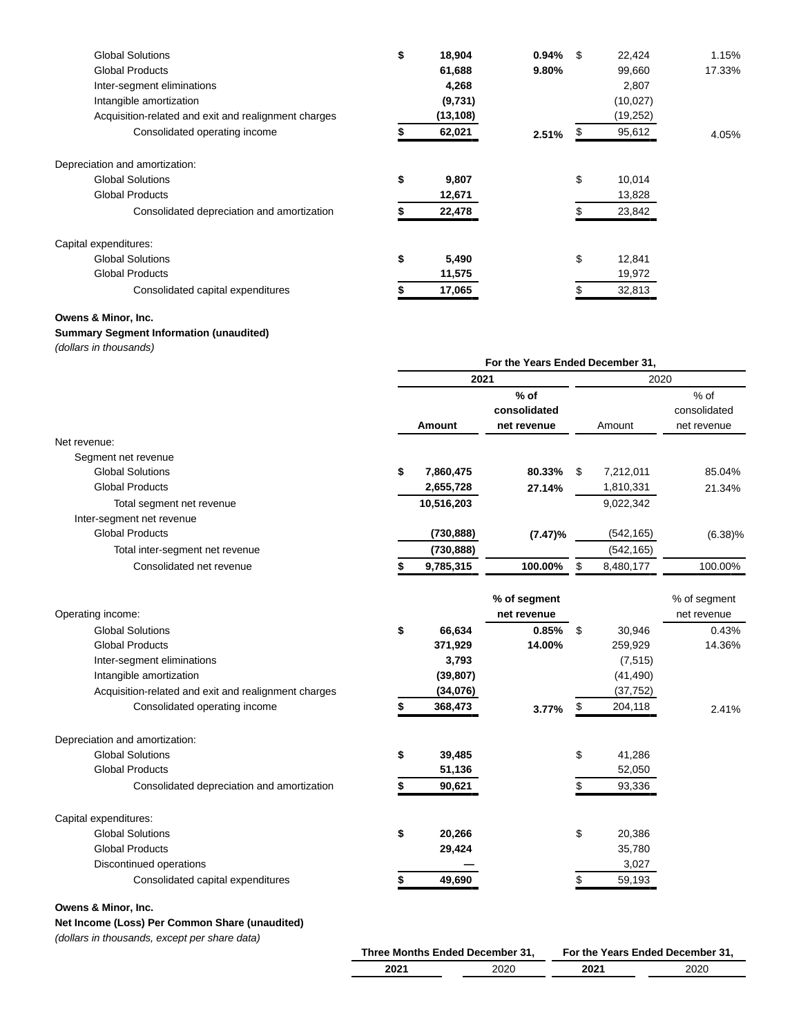| <b>Global Solutions</b>                              | \$<br>18,904 | $0.94\%$ \$ | 22,424       | 1.15%  |
|------------------------------------------------------|--------------|-------------|--------------|--------|
| <b>Global Products</b>                               | 61,688       | 9.80%       | 99,660       | 17.33% |
| Inter-segment eliminations                           | 4,268        |             | 2,807        |        |
| Intangible amortization                              | (9,731)      |             | (10, 027)    |        |
| Acquisition-related and exit and realignment charges | (13, 108)    |             | (19,252)     |        |
| Consolidated operating income                        | 62,021       | 2.51%       | 95,612       | 4.05%  |
| Depreciation and amortization:                       |              |             |              |        |
| <b>Global Solutions</b>                              | \$<br>9,807  |             | \$<br>10,014 |        |
| <b>Global Products</b>                               | 12,671       |             | 13,828       |        |
| Consolidated depreciation and amortization           | 22,478       |             | 23,842       |        |
| Capital expenditures:                                |              |             |              |        |
| <b>Global Solutions</b>                              | \$<br>5,490  |             | \$<br>12,841 |        |
| <b>Global Products</b>                               | 11,575       |             | 19,972       |        |
| Consolidated capital expenditures                    | 17,065       |             | 32,813       |        |

#### **Owens & Minor, Inc.**

## **Summary Segment Information (unaudited)**

(dollars in thousands)

|                                 | For the Years Ended December 31, |               |              |      |            |              |  |
|---------------------------------|----------------------------------|---------------|--------------|------|------------|--------------|--|
|                                 |                                  | 2021          |              | 2020 |            |              |  |
|                                 |                                  |               | $%$ of       |      |            | $%$ of       |  |
|                                 |                                  |               | consolidated |      |            | consolidated |  |
|                                 |                                  | <b>Amount</b> | net revenue  |      | Amount     | net revenue  |  |
| Net revenue:                    |                                  |               |              |      |            |              |  |
| Segment net revenue             |                                  |               |              |      |            |              |  |
| <b>Global Solutions</b>         | \$                               | 7,860,475     | $80.33\%$ \$ |      | 7,212,011  | 85.04%       |  |
| <b>Global Products</b>          |                                  | 2,655,728     | 27.14%       |      | 1,810,331  | 21.34%       |  |
| Total segment net revenue       |                                  | 10,516,203    |              |      | 9,022,342  |              |  |
| Inter-segment net revenue       |                                  |               |              |      |            |              |  |
| <b>Global Products</b>          |                                  | (730, 888)    | $(7.47)\%$   |      | (542, 165) | $(6.38)\%$   |  |
| Total inter-segment net revenue |                                  | (730, 888)    |              |      | (542, 165) |              |  |
| Consolidated net revenue        |                                  | 9,785,315     | 100.00%      | S    | 8,480,177  | 100.00%      |  |
|                                 |                                  |               |              |      |            |              |  |

|                                                      |              | % of segment<br>net revenue |    |           | % of segment<br>net revenue |
|------------------------------------------------------|--------------|-----------------------------|----|-----------|-----------------------------|
| Operating income:                                    |              |                             |    |           |                             |
| <b>Global Solutions</b>                              | \$<br>66,634 | 0.85%                       | \$ | 30,946    | 0.43%                       |
| <b>Global Products</b>                               | 371,929      | 14.00%                      |    | 259,929   | 14.36%                      |
| Inter-segment eliminations                           | 3,793        |                             |    | (7, 515)  |                             |
| Intangible amortization                              | (39, 807)    |                             |    | (41, 490) |                             |
| Acquisition-related and exit and realignment charges | (34,076)     |                             |    | (37, 752) |                             |
| Consolidated operating income                        | 368,473      | 3.77%                       | \$ | 204,118   | 2.41%                       |
| Depreciation and amortization:                       |              |                             |    |           |                             |
| <b>Global Solutions</b>                              | \$<br>39,485 |                             | \$ | 41,286    |                             |
| <b>Global Products</b>                               | 51,136       |                             |    | 52,050    |                             |
| Consolidated depreciation and amortization           | 90,621       |                             |    | 93,336    |                             |
| Capital expenditures:                                |              |                             |    |           |                             |
| <b>Global Solutions</b>                              | \$<br>20,266 |                             | \$ | 20,386    |                             |
| <b>Global Products</b>                               | 29,424       |                             |    | 35,780    |                             |
| Discontinued operations                              |              |                             |    | 3,027     |                             |
| Consolidated capital expenditures                    | 49,690       |                             | S  | 59,193    |                             |
| Owens & Minor, Inc.                                  |              |                             |    |           |                             |

## **Net Income (Loss) Per Common Share (unaudited)**

(dollars in thousands, except per share data)

| Three Months Ended December 31, |      | For the Years Ended December 31, |      |  |  |  |
|---------------------------------|------|----------------------------------|------|--|--|--|
| 2021                            | 2020 | 2021                             | 2020 |  |  |  |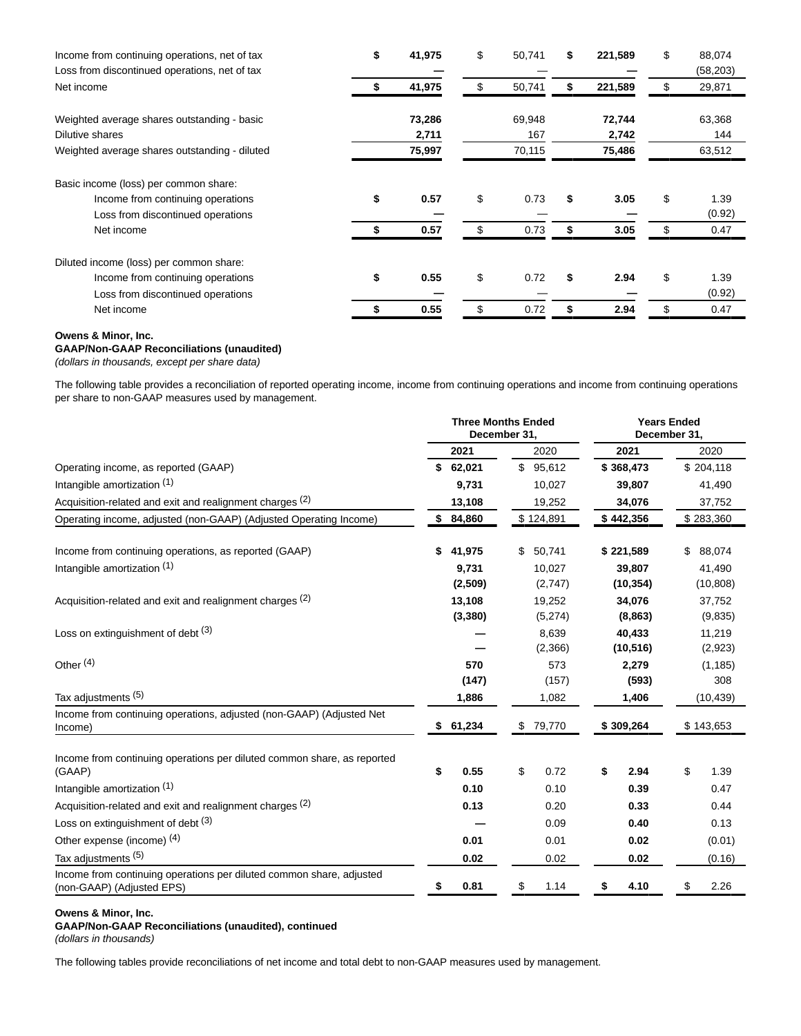| Income from continuing operations, net of tax<br>Loss from discontinued operations, net of tax | \$<br>41,975    | \$<br>50,741  | S  | 221,589         | \$<br>88,074<br>(58, 203) |
|------------------------------------------------------------------------------------------------|-----------------|---------------|----|-----------------|---------------------------|
| Net income                                                                                     | 41,975          | \$<br>50,741  | \$ | 221,589         | \$<br>29,871              |
| Weighted average shares outstanding - basic                                                    | 73,286          | 69,948        |    | 72,744          | 63,368                    |
| Dilutive shares<br>Weighted average shares outstanding - diluted                               | 2,711<br>75,997 | 167<br>70,115 |    | 2,742<br>75,486 | 144<br>63,512             |
|                                                                                                |                 |               |    |                 |                           |
| Basic income (loss) per common share:                                                          |                 |               |    |                 |                           |
| Income from continuing operations                                                              | \$<br>0.57      | \$<br>0.73    | \$ | 3.05            | \$<br>1.39                |
| Loss from discontinued operations                                                              |                 |               |    |                 | (0.92)                    |
| Net income                                                                                     | 0.57            | \$<br>0.73    |    | 3.05            | 0.47                      |
| Diluted income (loss) per common share:                                                        |                 |               |    |                 |                           |
| Income from continuing operations                                                              | \$<br>0.55      | \$<br>0.72    | \$ | 2.94            | \$<br>1.39                |
| Loss from discontinued operations                                                              |                 |               |    |                 | (0.92)                    |
| Net income                                                                                     | 0.55            | \$<br>0.72    |    | 2.94            | \$<br>0.47                |

#### **Owens & Minor, Inc.**

**GAAP/Non-GAAP Reconciliations (unaudited)**

(dollars in thousands, except per share data)

The following table provides a reconciliation of reported operating income, income from continuing operations and income from continuing operations per share to non-GAAP measures used by management.

|                                                                                                   | <b>Three Months Ended</b><br>December 31, |          |              |           | <b>Years Ended</b><br>December 31, |           |           |           |
|---------------------------------------------------------------------------------------------------|-------------------------------------------|----------|--------------|-----------|------------------------------------|-----------|-----------|-----------|
|                                                                                                   |                                           | 2021     |              | 2020      |                                    | 2021      |           | 2020      |
| Operating income, as reported (GAAP)                                                              |                                           | \$62,021 |              | \$95,612  |                                    | \$368,473 |           | \$204,118 |
| Intangible amortization (1)                                                                       |                                           | 9,731    |              | 10,027    |                                    | 39,807    |           | 41,490    |
| Acquisition-related and exit and realignment charges (2)                                          |                                           | 13,108   |              | 19,252    |                                    | 34,076    |           | 37,752    |
| Operating income, adjusted (non-GAAP) (Adjusted Operating Income)                                 |                                           | \$84,860 |              | \$124,891 |                                    | \$442,356 |           | \$283,360 |
| Income from continuing operations, as reported (GAAP)                                             | \$                                        | 41,975   | \$           | 50,741    |                                    | \$221,589 | \$        | 88,074    |
| Intangible amortization (1)                                                                       |                                           | 9,731    |              | 10,027    |                                    | 39,807    |           | 41,490    |
|                                                                                                   |                                           | (2,509)  |              | (2,747)   |                                    | (10, 354) |           | (10, 808) |
| Acquisition-related and exit and realignment charges (2)                                          |                                           | 13,108   |              | 19,252    |                                    | 34,076    |           | 37,752    |
|                                                                                                   |                                           | (3,380)  |              | (5,274)   |                                    | (8,863)   |           | (9,835)   |
| Loss on extinguishment of debt (3)                                                                |                                           |          |              | 8,639     |                                    | 40,433    |           | 11,219    |
|                                                                                                   |                                           |          |              | (2,366)   |                                    | (10, 516) |           | (2,923)   |
| Other <sup>(4)</sup>                                                                              |                                           | 570      |              | 573       |                                    | 2,279     |           | (1, 185)  |
|                                                                                                   |                                           | (147)    |              | (157)     |                                    | (593)     |           | 308       |
| Tax adjustments (5)                                                                               |                                           | 1,886    |              | 1,082     |                                    | 1,406     |           | (10, 439) |
| Income from continuing operations, adjusted (non-GAAP) (Adjusted Net<br>Income)                   | 61,234<br>\$                              |          | \$<br>79,770 |           | \$309,264                          |           | \$143,653 |           |
| Income from continuing operations per diluted common share, as reported<br>(GAAP)                 | \$                                        | 0.55     | \$           | 0.72      | \$                                 | 2.94      | \$        | 1.39      |
| Intangible amortization (1)                                                                       |                                           | 0.10     |              | 0.10      |                                    | 0.39      |           | 0.47      |
| Acquisition-related and exit and realignment charges (2)                                          |                                           | 0.13     |              | 0.20      |                                    | 0.33      |           | 0.44      |
| Loss on extinguishment of debt (3)                                                                |                                           |          |              | 0.09      |                                    | 0.40      |           | 0.13      |
| Other expense (income) (4)                                                                        |                                           | 0.01     |              | 0.01      |                                    | 0.02      |           | (0.01)    |
| Tax adjustments (5)                                                                               |                                           | 0.02     |              | 0.02      |                                    | 0.02      |           | (0.16)    |
| Income from continuing operations per diluted common share, adjusted<br>(non-GAAP) (Adjusted EPS) | \$                                        | 0.81     | \$           | 1.14      | \$                                 | 4.10      | \$        | 2.26      |

## **Owens & Minor, Inc.**

**GAAP/Non-GAAP Reconciliations (unaudited), continued** (dollars in thousands)

The following tables provide reconciliations of net income and total debt to non-GAAP measures used by management.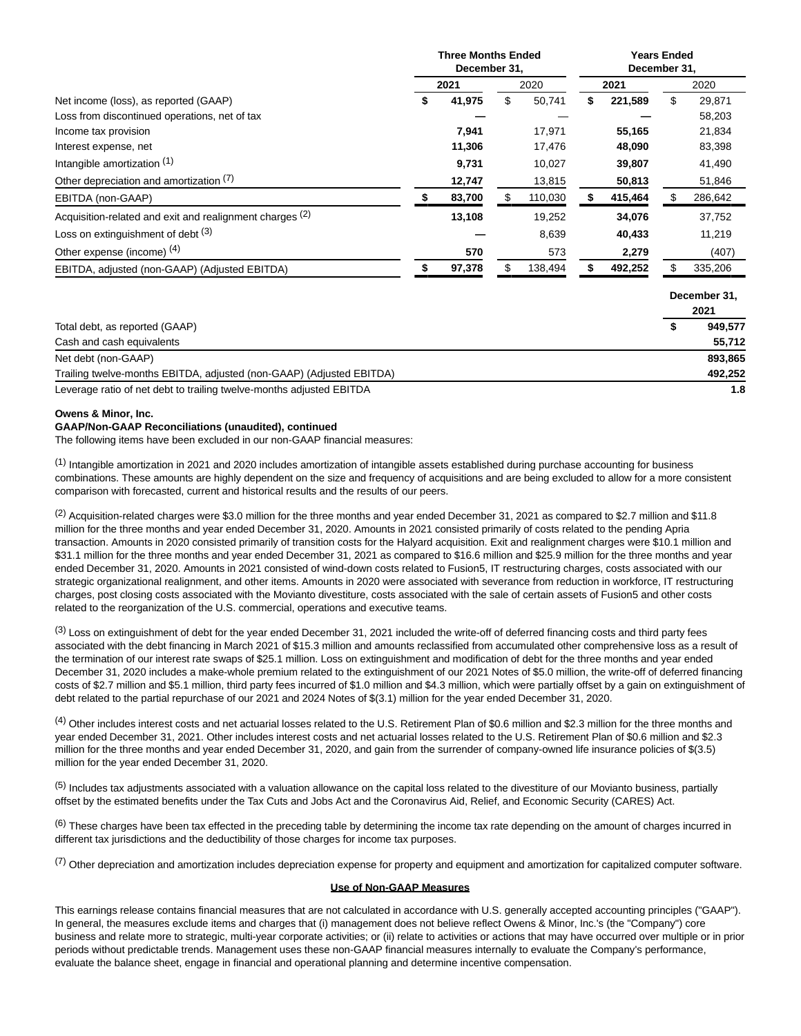|                                                          | <b>Three Months Ended</b><br>December 31, |        |    |         | <b>Years Ended</b><br>December 31, |         |              |         |  |
|----------------------------------------------------------|-------------------------------------------|--------|----|---------|------------------------------------|---------|--------------|---------|--|
|                                                          |                                           | 2021   |    | 2020    |                                    | 2021    |              | 2020    |  |
| Net income (loss), as reported (GAAP)                    | S                                         | 41,975 | \$ | 50,741  | S                                  | 221,589 | \$           | 29,871  |  |
| Loss from discontinued operations, net of tax            |                                           |        |    |         |                                    |         |              | 58,203  |  |
| Income tax provision                                     |                                           | 7,941  |    | 17,971  |                                    | 55,165  |              | 21,834  |  |
| Interest expense, net                                    |                                           | 11,306 |    | 17,476  |                                    | 48,090  |              | 83,398  |  |
| Intangible amortization (1)                              |                                           | 9,731  |    | 10,027  |                                    | 39,807  |              | 41,490  |  |
| Other depreciation and amortization (7)                  |                                           | 12,747 |    | 13,815  |                                    | 50,813  |              | 51,846  |  |
| EBITDA (non-GAAP)                                        |                                           | 83,700 |    | 110,030 |                                    | 415,464 |              | 286,642 |  |
| Acquisition-related and exit and realignment charges (2) |                                           | 13,108 |    | 19,252  |                                    | 34,076  |              | 37,752  |  |
| Loss on extinguishment of debt (3)                       |                                           |        |    | 8,639   |                                    | 40,433  |              | 11,219  |  |
| Other expense (income) (4)                               |                                           | 570    |    | 573     |                                    | 2,279   |              | (407)   |  |
| EBITDA, adjusted (non-GAAP) (Adjusted EBITDA)            |                                           | 97,378 |    | 138,494 |                                    | 492,252 |              | 335,206 |  |
|                                                          |                                           |        |    |         |                                    |         | December 31, |         |  |
|                                                          |                                           |        |    |         |                                    |         |              | 2021    |  |
| $T_{\text{eff}}$ and the second set of $(0.100)$         |                                           |        |    |         |                                    |         |              | 0.40777 |  |

| Total debt, as reported (GAAP)                                       | 949.577 |
|----------------------------------------------------------------------|---------|
| Cash and cash equivalents                                            | 55.712  |
| Net debt (non-GAAP)                                                  | 893.865 |
| Trailing twelve-months EBITDA, adjusted (non-GAAP) (Adjusted EBITDA) | 492.252 |
| Leverage ratio of net debt to trailing twelve-months adjusted EBITDA | 1.8     |

#### **Owens & Minor, Inc.**

## **GAAP/Non-GAAP Reconciliations (unaudited), continued**

The following items have been excluded in our non-GAAP financial measures:

 $<sup>(1)</sup>$  Intangible amortization in 2021 and 2020 includes amortization of intangible assets established during purchase accounting for business</sup> combinations. These amounts are highly dependent on the size and frequency of acquisitions and are being excluded to allow for a more consistent comparison with forecasted, current and historical results and the results of our peers.

 $(2)$  Acquisition-related charges were \$3.0 million for the three months and year ended December 31, 2021 as compared to \$2.7 million and \$11.8 million for the three months and year ended December 31, 2020. Amounts in 2021 consisted primarily of costs related to the pending Apria transaction. Amounts in 2020 consisted primarily of transition costs for the Halyard acquisition. Exit and realignment charges were \$10.1 million and \$31.1 million for the three months and year ended December 31, 2021 as compared to \$16.6 million and \$25.9 million for the three months and year ended December 31, 2020. Amounts in 2021 consisted of wind-down costs related to Fusion5, IT restructuring charges, costs associated with our strategic organizational realignment, and other items. Amounts in 2020 were associated with severance from reduction in workforce, IT restructuring charges, post closing costs associated with the Movianto divestiture, costs associated with the sale of certain assets of Fusion5 and other costs related to the reorganization of the U.S. commercial, operations and executive teams.

<sup>(3)</sup> Loss on extinguishment of debt for the year ended December 31, 2021 included the write-off of deferred financing costs and third party fees associated with the debt financing in March 2021 of \$15.3 million and amounts reclassified from accumulated other comprehensive loss as a result of the termination of our interest rate swaps of \$25.1 million. Loss on extinguishment and modification of debt for the three months and year ended December 31, 2020 includes a make-whole premium related to the extinguishment of our 2021 Notes of \$5.0 million, the write-off of deferred financing costs of \$2.7 million and \$5.1 million, third party fees incurred of \$1.0 million and \$4.3 million, which were partially offset by a gain on extinguishment of debt related to the partial repurchase of our 2021 and 2024 Notes of \$(3.1) million for the year ended December 31, 2020.

(4) Other includes interest costs and net actuarial losses related to the U.S. Retirement Plan of \$0.6 million and \$2.3 million for the three months and year ended December 31, 2021. Other includes interest costs and net actuarial losses related to the U.S. Retirement Plan of \$0.6 million and \$2.3 million for the three months and year ended December 31, 2020, and gain from the surrender of company-owned life insurance policies of \$(3.5) million for the year ended December 31, 2020.

 $<sup>(5)</sup>$  Includes tax adjustments associated with a valuation allowance on the capital loss related to the divestiture of our Movianto business, partially</sup> offset by the estimated benefits under the Tax Cuts and Jobs Act and the Coronavirus Aid, Relief, and Economic Security (CARES) Act.

 $(6)$  These charges have been tax effected in the preceding table by determining the income tax rate depending on the amount of charges incurred in different tax jurisdictions and the deductibility of those charges for income tax purposes.

(7) Other depreciation and amortization includes depreciation expense for property and equipment and amortization for capitalized computer software.

#### **Use of Non-GAAP Measures**

This earnings release contains financial measures that are not calculated in accordance with U.S. generally accepted accounting principles ("GAAP"). In general, the measures exclude items and charges that (i) management does not believe reflect Owens & Minor, Inc.'s (the "Company") core business and relate more to strategic, multi-year corporate activities; or (ii) relate to activities or actions that may have occurred over multiple or in prior periods without predictable trends. Management uses these non-GAAP financial measures internally to evaluate the Company's performance, evaluate the balance sheet, engage in financial and operational planning and determine incentive compensation.